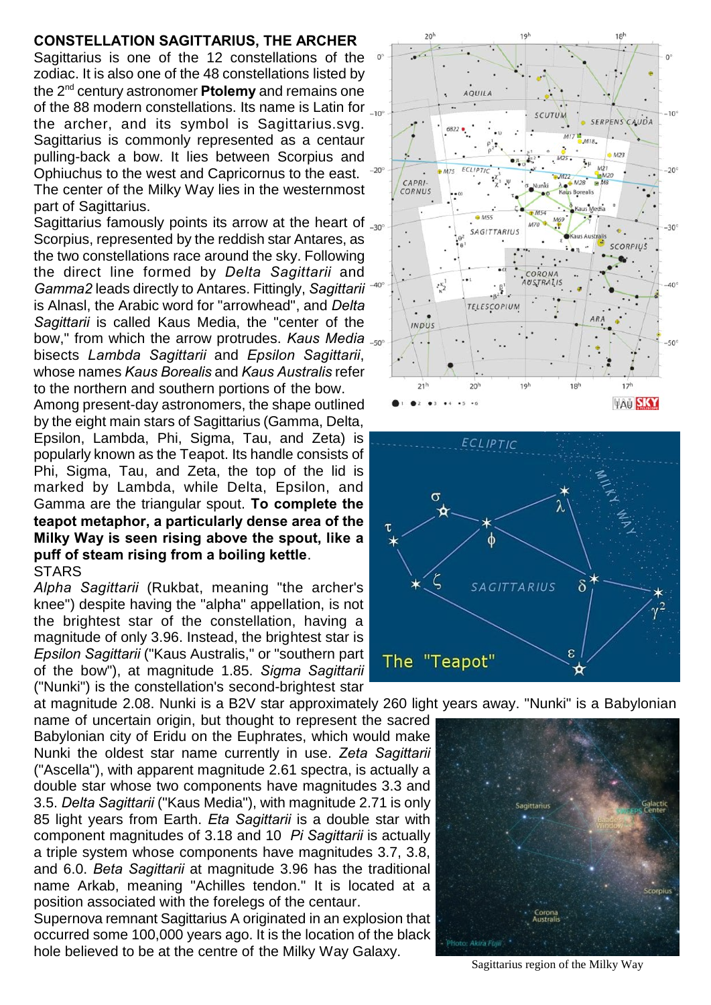## **CONSTELLATION SAGITTARIUS, THE ARCHER**

Sagittarius is one of the 12 constellations of the zodiac. It is also one of the 48 constellations listed by the 2nd century astronomer **Ptolemy** and remains one of the 88 modern constellations. Its name is Latin for  $\mu_{00}$ the archer, and its symbol is Sagittarius.svg. Sagittarius is commonly represented as a centaur pulling-back a bow. It lies between Scorpius and Ophiuchus to the west and Capricornus to the east. The center of the Milky Way lies in the westernmost part of Sagittarius.

Sagittarius famously points its arrow at the heart of  $\Box$ Scorpius, represented by the reddish star Antares, as the two constellations race around the sky. Following the direct line formed by *Delta Sagittarii* and *Gamma2* leads directly to Antares. Fittingly, *Sagittarii* is Alnasl, the Arabic word for "arrowhead", and *Delta Sagittarii* is called Kaus Media, the "center of the bow," from which the arrow protrudes. *Kaus Media* bisects *Lambda Sagittarii* and *Epsilon Sagittarii*, whose names *Kaus Borealis* and *Kaus Australis* refer to the northern and southern portions of the bow. Among present-day astronomers, the shape outlined by the eight main stars of Sagittarius (Gamma, Delta, Epsilon, Lambda, Phi, Sigma, Tau, and Zeta) is popularly known as the Teapot. Its handle consists of Phi, Sigma, Tau, and Zeta, the top of the lid is marked by Lambda, while Delta, Epsilon, and Gamma are the triangular spout. **To complete the teapot metaphor, a particularly dense area of the Milky Way is seen rising above the spout, like a puff of steam rising from a boiling kettle**.

## **STARS**

*Alpha Sagittarii* (Rukbat, meaning "the archer's knee") despite having the "alpha" appellation, is not the brightest star of the constellation, having a magnitude of only 3.96. Instead, the brightest star is *Epsilon Sagittarii* ("Kaus Australis," or "southern part of the bow"), at magnitude 1.85. *Sigma Sagittarii* ("Nunki") is the constellation's second-brightest star

name of uncertain origin, but thought to represent the sacred Babylonian city of Eridu on the Euphrates, which would make Nunki the oldest star name currently in use. *Zeta Sagittarii* ("Ascella"), with apparent magnitude 2.61 spectra, is actually a double star whose two components have magnitudes 3.3 and 3.5. *Delta Sagittarii* ("Kaus Media"), with magnitude 2.71 is only 85 light years from Earth. *Eta Sagittarii* is a double star with component magnitudes of 3.18 and 10 *Pi Sagittarii* is actually a triple system whose components have magnitudes 3.7, 3.8, and 6.0. *Beta Sagittarii* at magnitude 3.96 has the traditional name Arkab, meaning "Achilles tendon." It is located at a position associated with the forelegs of the centaur.

Supernova remnant Sagittarius A originated in an explosion that occurred some 100,000 years ago. It is the location of the black hole believed to be at the centre of the Milky Way Galaxy.





at magnitude 2.08. Nunki is a B2V star approximately 260 light years away. "Nunki" is a Babylonian



Sagittarius region of the Milky Way